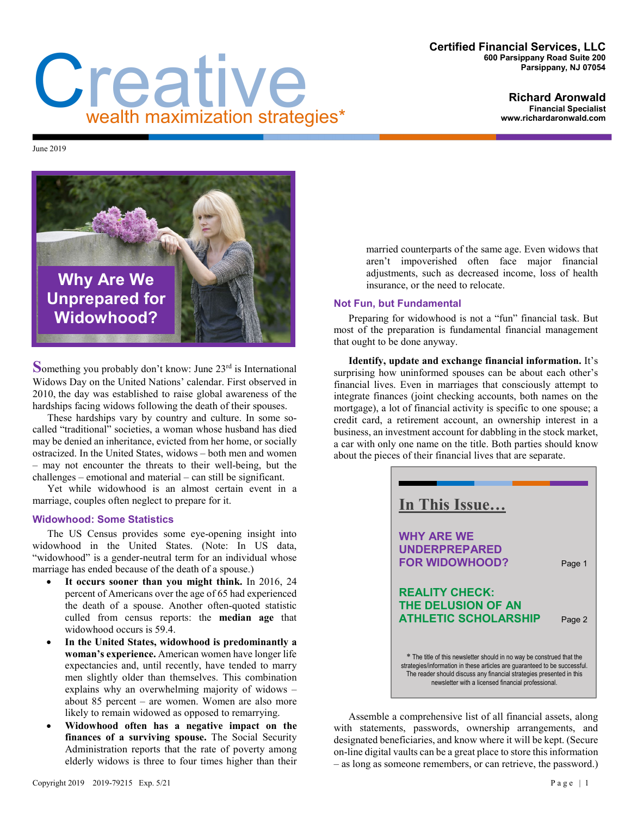#### **Certified Financial Services, LLC 600 Parsippany Road Suite 200 Parsippany, NJ 07054**

# **Richard Aronwald**

**Financial Specialist www.richardaronwald.com**

Creative wealth maximization strategies\*

June 2019



**Something you probably don't know: June 23<sup>rd</sup> is International** Widows Day on the United Nations' calendar. First observed in 2010, the day was established to raise global awareness of the hardships facing widows following the death of their spouses.

These hardships vary by country and culture. In some socalled "traditional" societies, a woman whose husband has died may be denied an inheritance, evicted from her home, or socially ostracized. In the United States, widows – both men and women – may not encounter the threats to their well-being, but the challenges – emotional and material – can still be significant.

Yet while widowhood is an almost certain event in a marriage, couples often neglect to prepare for it.

### **Widowhood: Some Statistics**

The US Census provides some eye-opening insight into widowhood in the United States. (Note: In US data, "widowhood" is a gender-neutral term for an individual whose marriage has ended because of the death of a spouse.)

- **It occurs sooner than you might think.** In 2016, 24 percent of Americans over the age of 65 had experienced the death of a spouse. Another often-quoted statistic culled from census reports: the **median age** that widowhood occurs is 59.4.
- **In the United States, widowhood is predominantly a woman's experience.** American women have longer life expectancies and, until recently, have tended to marry men slightly older than themselves. This combination explains why an overwhelming majority of widows – about 85 percent – are women. Women are also more likely to remain widowed as opposed to remarrying.
- **Widowhood often has a negative impact on the finances of a surviving spouse.** The Social Security Administration reports that the rate of poverty among elderly widows is three to four times higher than their

married counterparts of the same age. Even widows that aren't impoverished often face major financial adjustments, such as decreased income, loss of health insurance, or the need to relocate.

## **Not Fun, but Fundamental**

Preparing for widowhood is not a "fun" financial task. But most of the preparation is fundamental financial management that ought to be done anyway.

**Identify, update and exchange financial information.** It's surprising how uninformed spouses can be about each other's financial lives. Even in marriages that consciously attempt to integrate finances (joint checking accounts, both names on the mortgage), a lot of financial activity is specific to one spouse; a credit card, a retirement account, an ownership interest in a business, an investment account for dabbling in the stock market, a car with only one name on the title. Both parties should know about the pieces of their financial lives that are separate.



Assemble a comprehensive list of all financial assets, along with statements, passwords, ownership arrangements, and designated beneficiaries, and know where it will be kept. (Secure on-line digital vaults can be a great place to store this information – as long as someone remembers, or can retrieve, the password.)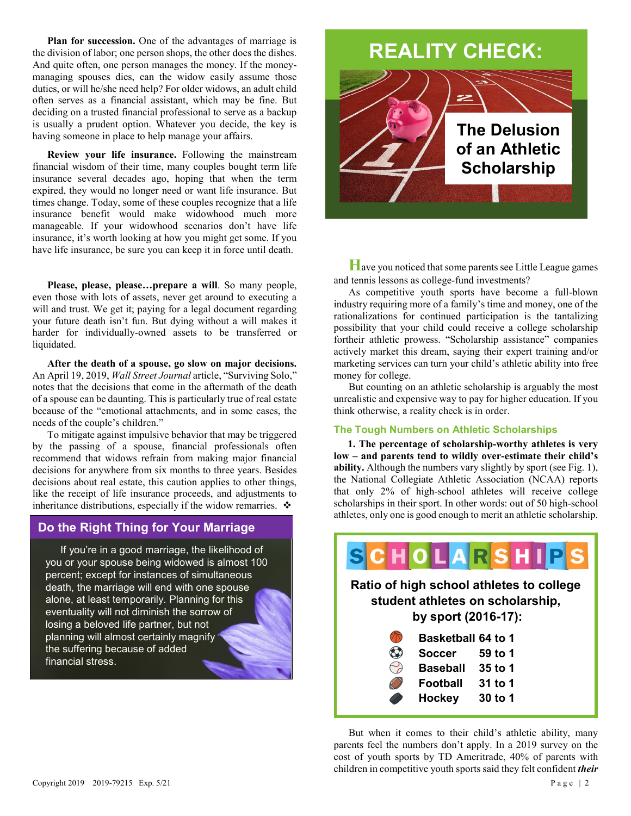Plan for succession. One of the advantages of marriage is the division of labor; one person shops, the other does the dishes. And quite often, one person manages the money. If the moneymanaging spouses dies, can the widow easily assume those duties, or will he/she need help? For older widows, an adult child often serves as a financial assistant, which may be fine. But deciding on a trusted financial professional to serve as a backup is usually a prudent option. Whatever you decide, the key is having someone in place to help manage your affairs.

**Review your life insurance.** Following the mainstream financial wisdom of their time, many couples bought term life insurance several decades ago, hoping that when the term expired, they would no longer need or want life insurance. But times change. Today, some of these couples recognize that a life insurance benefit would make widowhood much more manageable. If your widowhood scenarios don't have life insurance, it's worth looking at how you might get some. If you have life insurance, be sure you can keep it in force until death.

**Please, please, please…prepare a will**. So many people, even those with lots of assets, never get around to executing a will and trust. We get it; paying for a legal document regarding your future death isn't fun. But dying without a will makes it harder for individually-owned assets to be transferred or liquidated.

**After the death of a spouse, go slow on major decisions.**  An April 19, 2019, *Wall Street Journal* article, "Surviving Solo," notes that the decisions that come in the aftermath of the death of a spouse can be daunting. This is particularly true of real estate because of the "emotional attachments, and in some cases, the needs of the couple's children."

To mitigate against impulsive behavior that may be triggered by the passing of a spouse, financial professionals often recommend that widows refrain from making major financial decisions for anywhere from six months to three years. Besides decisions about real estate, this caution applies to other things, like the receipt of life insurance proceeds, and adjustments to inheritance distributions, especially if the widow remarries.  $\cdot$ 

## **Do the Right Thing for Your Marriage Do the Right Thing for Your Marriage**

If you're in a good marriage, the likelihood of you or your spouse being widowed is almost 100 percent; except for instances of simultaneous death, the marriage will end with one spouse alone, at least temporarily. Planning for this eventuality will not diminish the sorrow of losing a beloved life partner, but not planning will almost certainly magnify the suffering because of added financial stress.

## **REALITY CHECK:**



**H**ave you noticed that some parents see Little League games and tennis lessons as college-fund investments?

As competitive youth sports have become a full-blown industry requiring more of a family's time and money, one of the rationalizations for continued participation is the tantalizing possibility that your child could receive a college scholarship fortheir athletic prowess. "Scholarship assistance" companies actively market this dream, saying their expert training and/or marketing services can turn your child's athletic ability into free money for college.

But counting on an athletic scholarship is arguably the most unrealistic and expensive way to pay for higher education. If you think otherwise, a reality check is in order.

## **The Tough Numbers on Athletic Scholarships**

**1. The percentage of scholarship-worthy athletes is very low – and parents tend to wildly over-estimate their child's ability.** Although the numbers vary slightly by sport (see Fig. 1), the National Collegiate Athletic Association (NCAA) reports that only 2% of high-school athletes will receive college scholarships in their sport. In other words: out of 50 high-school athletes, only one is good enough to merit an athletic scholarship.



But when it comes to their child's athletic ability, many parents feel the numbers don't apply. In a 2019 survey on the cost of youth sports by TD Ameritrade, 40% of parents with children in competitive youth sports said they felt confident *their*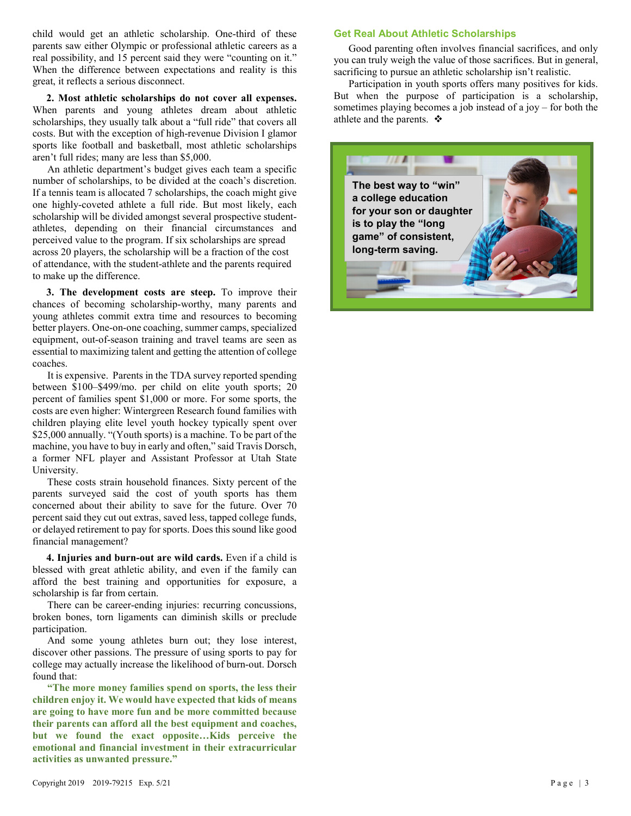child would get an athletic scholarship. One-third of these parents saw either Olympic or professional athletic careers as a real possibility, and 15 percent said they were "counting on it." When the difference between expectations and reality is this great, it reflects a serious disconnect.

**2. Most athletic scholarships do not cover all expenses.** When parents and young athletes dream about athletic scholarships, they usually talk about a "full ride" that covers all costs. But with the exception of high-revenue Division I glamor sports like football and basketball, most athletic scholarships aren't full rides; many are less than \$5,000.

An athletic department's budget gives each team a specific number of scholarships, to be divided at the coach's discretion. If a tennis team is allocated 7 scholarships, the coach might give one highly-coveted athlete a full ride. But most likely, each scholarship will be divided amongst several prospective studentathletes, depending on their financial circumstances and perceived value to the program. If six scholarships are spread across 20 players, the scholarship will be a fraction of the cost of attendance, with the student-athlete and the parents required to make up the difference.

**3. The development costs are steep.** To improve their chances of becoming scholarship-worthy, many parents and young athletes commit extra time and resources to becoming better players. One-on-one coaching, summer camps, specialized equipment, out-of-season training and travel teams are seen as essential to maximizing talent and getting the attention of college coaches.

It is expensive. Parents in the TDA survey reported spending between \$100–\$499/mo. per child on elite youth sports; 20 percent of families spent \$1,000 or more. For some sports, the costs are even higher: Wintergreen Research found families with children playing elite level youth hockey typically spent over \$25,000 annually. "(Youth sports) is a machine. To be part of the machine, you have to buy in early and often," said Travis Dorsch, a former NFL player and Assistant Professor at Utah State University.

These costs strain household finances. Sixty percent of the parents surveyed said the cost of youth sports has them concerned about their ability to save for the future. Over 70 percent said they cut out extras, saved less, tapped college funds, or delayed retirement to pay for sports. Does this sound like good financial management?

**4. Injuries and burn-out are wild cards.** Even if a child is blessed with great athletic ability, and even if the family can afford the best training and opportunities for exposure, a scholarship is far from certain.

There can be career-ending injuries: recurring concussions, broken bones, torn ligaments can diminish skills or preclude participation.

And some young athletes burn out; they lose interest, discover other passions. The pressure of using sports to pay for college may actually increase the likelihood of burn-out. Dorsch found that:

**"The more money families spend on sports, the less their children enjoy it. We would have expected that kids of means are going to have more fun and be more committed because their parents can afford all the best equipment and coaches, but we found the exact opposite…Kids perceive the emotional and financial investment in their extracurricular activities as unwanted pressure."**

## **Get Real About Athletic Scholarships**

Good parenting often involves financial sacrifices, and only you can truly weigh the value of those sacrifices. But in general, sacrificing to pursue an athletic scholarship isn't realistic.

Participation in youth sports offers many positives for kids. But when the purpose of participation is a scholarship, sometimes playing becomes a job instead of a joy – for both the athlete and the parents.  $\mathbf{\hat{*}}$